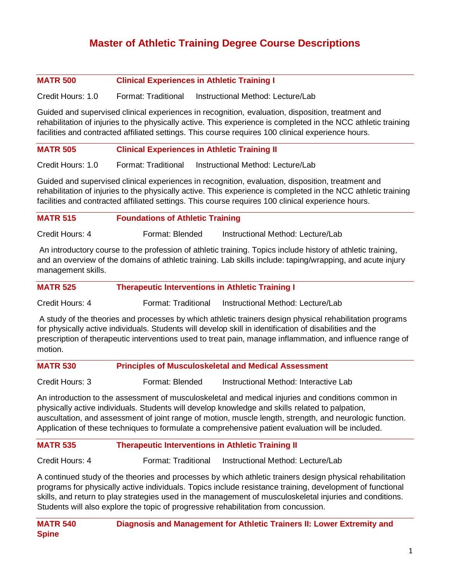# **Master of Athletic Training Degree Course Descriptions**

### **MATR 500 Clinical Experiences in Athletic Training I**

Credit Hours: 1.0 Format: Traditional Instructional Method: Lecture/Lab

Guided and supervised clinical experiences in recognition, evaluation, disposition, treatment and rehabilitation of injuries to the physically active. This experience is completed in the NCC athletic training facilities and contracted affiliated settings. This course requires 100 clinical experience hours.

#### **MATR 505 Clinical Experiences in Athletic Training II**

Credit Hours: 1.0 Format: Traditional Instructional Method: Lecture/Lab

Guided and supervised clinical experiences in recognition, evaluation, disposition, treatment and rehabilitation of injuries to the physically active. This experience is completed in the NCC athletic training facilities and contracted affiliated settings. This course requires 100 clinical experience hours.

| <b>MATR 515</b> | <b>Foundations of Athletic Training</b> |  |
|-----------------|-----------------------------------------|--|
|                 |                                         |  |

Credit Hours: 4 Format: Blended Instructional Method: Lecture/Lab

An introductory course to the profession of athletic training. Topics include history of athletic training, and an overview of the domains of athletic training. Lab skills include: taping/wrapping, and acute injury management skills.

|  | <b>MATR 525</b> | <b>Therapeutic Interventions in Athletic Training I</b> |
|--|-----------------|---------------------------------------------------------|
|--|-----------------|---------------------------------------------------------|

Credit Hours: 4 Format: Traditional Instructional Method: Lecture/Lab

A study of the theories and processes by which athletic trainers design physical rehabilitation programs for physically active individuals. Students will develop skill in identification of disabilities and the prescription of therapeutic interventions used to treat pain, manage inflammation, and influence range of motion.

| <b>MATR 530</b> | <b>Principles of Musculoskeletal and Medical Assessment</b> |  |
|-----------------|-------------------------------------------------------------|--|
|-----------------|-------------------------------------------------------------|--|

Credit Hours: 3 Format: Blended Instructional Method: Interactive Lab

An introduction to the assessment of musculoskeletal and medical injuries and conditions common in physically active individuals. Students will develop knowledge and skills related to palpation, auscultation, and assessment of joint range of motion, muscle length, strength, and neurologic function. Application of these techniques to formulate a comprehensive patient evaluation will be included.

## **MATR 535 Therapeutic Interventions in Athletic Training II**

Credit Hours: 4 Format: Traditional Instructional Method: Lecture/Lab

A continued study of the theories and processes by which athletic trainers design physical rehabilitation programs for physically active individuals. Topics include resistance training, development of functional skills, and return to play strategies used in the management of musculoskeletal injuries and conditions. Students will also explore the topic of progressive rehabilitation from concussion.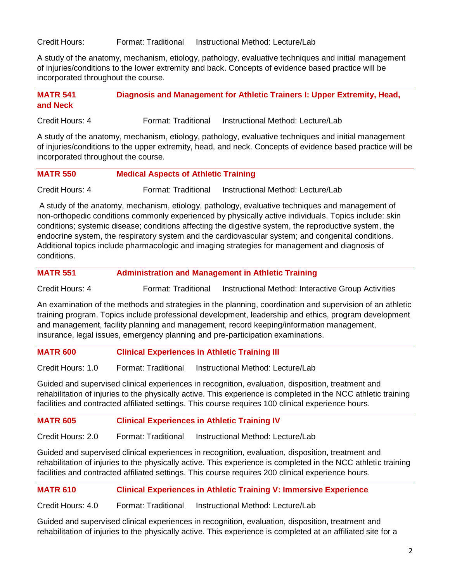Credit Hours: Format: Traditional Instructional Method: Lecture/Lab

A study of the anatomy, mechanism, etiology, pathology, evaluative techniques and initial management of injuries/conditions to the lower extremity and back. Concepts of evidence based practice will be incorporated throughout the course.

**MATR 541 Diagnosis and Management for Athletic Trainers I: Upper Extremity, Head, and Neck**

Credit Hours: 4 Format: Traditional Instructional Method: Lecture/Lab

A study of the anatomy, mechanism, etiology, pathology, evaluative techniques and initial management of injuries/conditions to the upper extremity, head, and neck. Concepts of evidence based practice will be incorporated throughout the course.

| <b>MATR 550</b> | <b>Medical Aspects of Athletic Training</b> |  |
|-----------------|---------------------------------------------|--|
|-----------------|---------------------------------------------|--|

Credit Hours: 4 Format: Traditional Instructional Method: Lecture/Lab

A study of the anatomy, mechanism, etiology, pathology, evaluative techniques and management of non-orthopedic conditions commonly experienced by physically active individuals. Topics include: skin conditions; systemic disease; conditions affecting the digestive system, the reproductive system, the endocrine system, the respiratory system and the cardiovascular system; and congenital conditions. Additional topics include pharmacologic and imaging strategies for management and diagnosis of conditions.

#### **MATR 551 Administration and Management in Athletic Training**

Credit Hours: 4 Format: Traditional Instructional Method: Interactive Group Activities

An examination of the methods and strategies in the planning, coordination and supervision of an athletic training program. Topics include professional development, leadership and ethics, program development and management, facility planning and management, record keeping/information management, insurance, legal issues, emergency planning and pre-participation examinations.

#### **MATR 600 Clinical Experiences in Athletic Training III**

Credit Hours: 1.0 Format: Traditional Instructional Method: Lecture/Lab

Guided and supervised clinical experiences in recognition, evaluation, disposition, treatment and rehabilitation of injuries to the physically active. This experience is completed in the NCC athletic training facilities and contracted affiliated settings. This course requires 100 clinical experience hours.

### **MATR 605 Clinical Experiences in Athletic Training IV**

Credit Hours: 2.0 Format: Traditional Instructional Method: Lecture/Lab

Guided and supervised clinical experiences in recognition, evaluation, disposition, treatment and rehabilitation of injuries to the physically active. This experience is completed in the NCC athletic training facilities and contracted affiliated settings. This course requires 200 clinical experience hours.

# **MATR 610 Clinical Experiences in Athletic Training V: Immersive Experience**

Credit Hours: 4.0 Format: Traditional Instructional Method: Lecture/Lab

Guided and supervised clinical experiences in recognition, evaluation, disposition, treatment and rehabilitation of injuries to the physically active. This experience is completed at an affiliated site for a